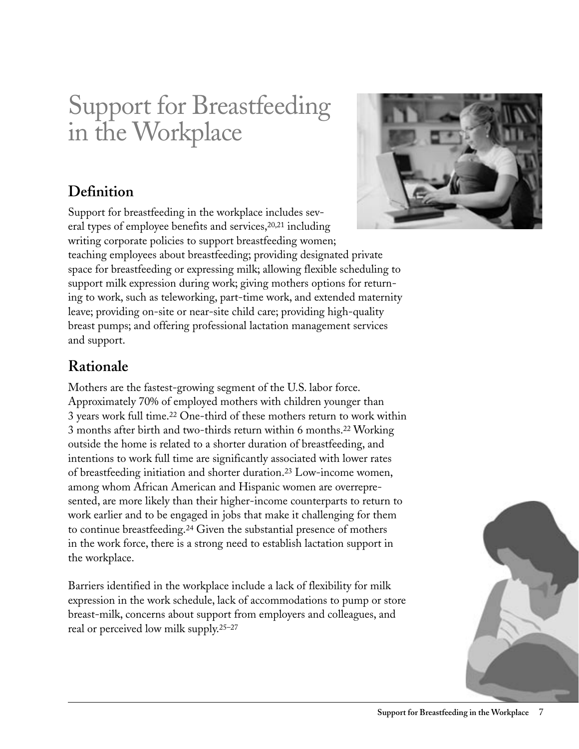# Support for Breastfeeding in the Workplace

# **Definition**

Support for breastfeeding in the workplace includes several types of employee benefits and services,20,21 including writing corporate policies to support breastfeeding women; teaching employees about breastfeeding; providing designated private space for breastfeeding or expressing milk; allowing flexible scheduling to support milk expression during work; giving mothers options for returning to work, such as teleworking, part-time work, and extended maternity leave; providing on-site or near-site child care; providing high-quality breast pumps; and offering professional lactation management services and support.

# **Rationale**

Mothers are the fastest-growing segment of the U.S. labor force. Approximately 70% of employed mothers with children younger than 3 years work full time.22 One-third of these mothers return to work within 3 months after birth and two-thirds return within 6 months.22 Working outside the home is related to a shorter duration of breastfeeding, and intentions to work full time are significantly associated with lower rates of breastfeeding initiation and shorter duration.23 Low-income women, among whom African American and Hispanic women are overrepresented, are more likely than their higher-income counterparts to return to work earlier and to be engaged in jobs that make it challenging for them to continue breastfeeding.24 Given the substantial presence of mothers in the work force, there is a strong need to establish lactation support in the workplace.

Barriers identified in the workplace include a lack of flexibility for milk expression in the work schedule, lack of accommodations to pump or store breast-milk, concerns about support from employers and colleagues, and real or perceived low milk supply.25–27



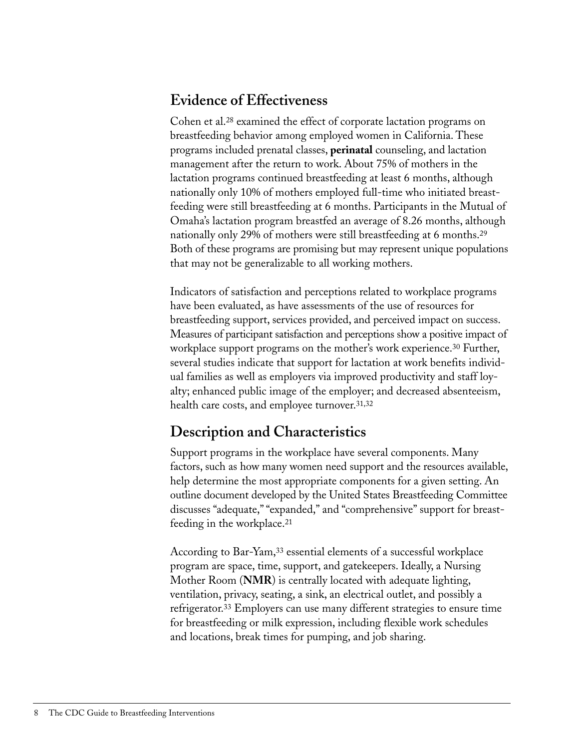### **Evidence of Effectiveness**

Cohen et al.28 examined the effect of corporate lactation programs on breastfeeding behavior among employed women in California. These programs included prenatal classes, **perinatal** counseling, and lactation management after the return to work. About 75% of mothers in the lactation programs continued breastfeeding at least 6 months, although nationally only 10% of mothers employed full-time who initiated breastfeeding were still breastfeeding at 6 months. Participants in the Mutual of Omaha's lactation program breastfed an average of 8.26 months, although nationally only 29% of mothers were still breastfeeding at 6 months.29 Both of these programs are promising but may represent unique populations that may not be generalizable to all working mothers.

Indicators of satisfaction and perceptions related to workplace programs have been evaluated, as have assessments of the use of resources for breastfeeding support, services provided, and perceived impact on success. Measures of participant satisfaction and perceptions show a positive impact of workplace support programs on the mother's work experience.<sup>30</sup> Further, several studies indicate that support for lactation at work benefits individual families as well as employers via improved productivity and staff loyalty; enhanced public image of the employer; and decreased absenteeism, health care costs, and employee turnover.31,32

# **Description and Characteristics**

Support programs in the workplace have several components. Many factors, such as how many women need support and the resources available, help determine the most appropriate components for a given setting. An outline document developed by the United States Breastfeeding Committee discusses "adequate," "expanded," and "comprehensive" support for breastfeeding in the workplace.21

According to Bar-Yam,<sup>33</sup> essential elements of a successful workplace program are space, time, support, and gatekeepers. Ideally, a Nursing Mother Room (**NMR**) is centrally located with adequate lighting, ventilation, privacy, seating, a sink, an electrical outlet, and possibly a refrigerator.33 Employers can use many different strategies to ensure time for breastfeeding or milk expression, including flexible work schedules and locations, break times for pumping, and job sharing.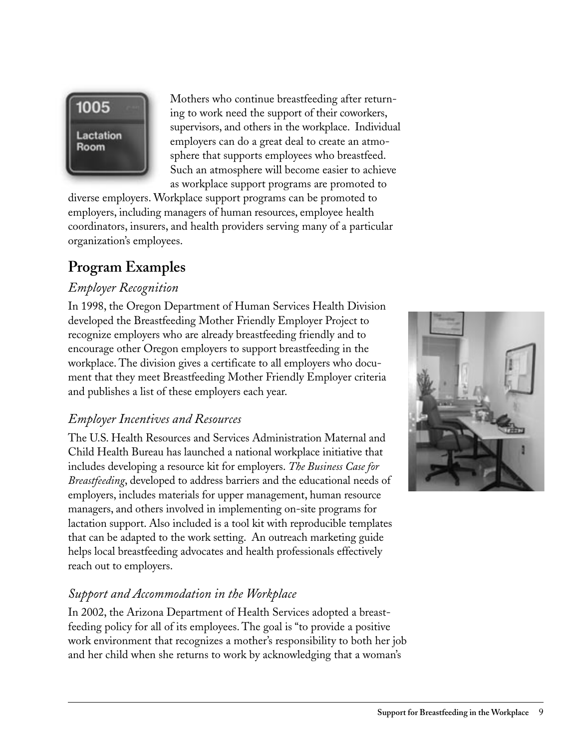

Mothers who continue breastfeeding after returning to work need the support of their coworkers, supervisors, and others in the workplace. Individual employers can do a great deal to create an atmosphere that supports employees who breastfeed. Such an atmosphere will become easier to achieve as workplace support programs are promoted to

diverse employers. Workplace support programs can be promoted to employers, including managers of human resources, employee health coordinators, insurers, and health providers serving many of a particular organization's employees.

# **Program Examples**

#### *Employer Recognition*

In 1998, the Oregon Department of Human Services Health Division developed the Breastfeeding Mother Friendly Employer Project to recognize employers who are already breastfeeding friendly and to encourage other Oregon employers to support breastfeeding in the workplace. The division gives a certificate to all employers who document that they meet Breastfeeding Mother Friendly Employer criteria and publishes a list of these employers each year.

#### *Employer Incentives and Resources*

The U.S. Health Resources and Services Administration Maternal and Child Health Bureau has launched a national workplace initiative that includes developing a resource kit for employers. *The Business Case for Breastfeeding*, developed to address barriers and the educational needs of employers, includes materials for upper management, human resource managers, and others involved in implementing on-site programs for lactation support. Also included is a tool kit with reproducible templates that can be adapted to the work setting. An outreach marketing guide helps local breastfeeding advocates and health professionals effectively reach out to employers.

#### *Support and Accommodation in the Workplace*

In 2002, the Arizona Department of Health Services adopted a breastfeeding policy for all of its employees. The goal is "to provide a positive work environment that recognizes a mother's responsibility to both her job and her child when she returns to work by acknowledging that a woman's

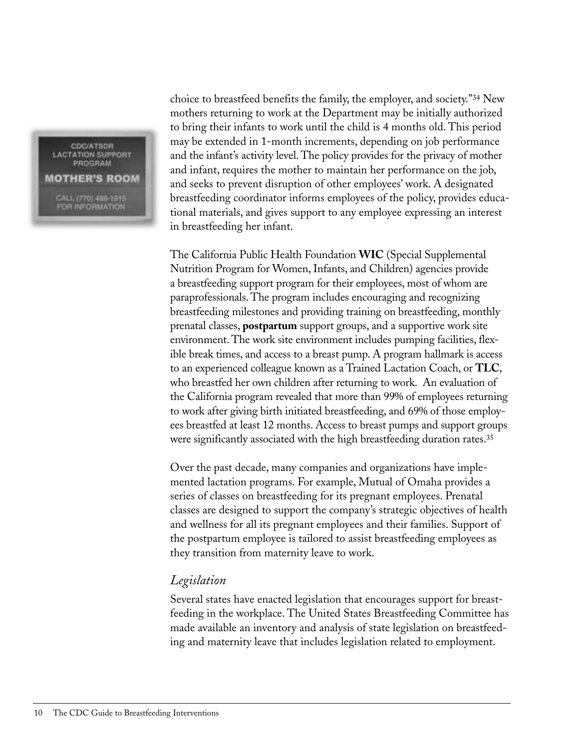**CDC/ATSDR LACTATION SUPPORT** PROGRAM **MOTHER'S ROOM** CALL (770) 488-1915 **FOR INFORMATION** 

choice to breastfeed benefits the family, the employer, and society."34 New mothers returning to work at the Department may be initially authorized to bring their infants to work until the child is 4 months old. This period may be extended in 1-month increments, depending on job performance and the infant's activity level. The policy provides for the privacy of mother and infant, requires the mother to maintain her performance on the job, and seeks to prevent disruption of other employees' work. A designated breastfeeding coordinator informs employees of the policy, provides educational materials, and gives support to any employee expressing an interest in breastfeeding her infant.

The California Public Health Foundation **WIC** (Special Supplemental Nutrition Program for Women, Infants, and Children) agencies provide a breastfeeding support program for their employees, most of whom are paraprofessionals. The program includes encouraging and recognizing breastfeeding milestones and providing training on breastfeeding, monthly prenatal classes, **postpartum** support groups, and a supportive work site environment. The work site environment includes pumping facilities, flexible break times, and access to a breast pump. A program hallmark is access to an experienced colleague known as a Trained Lactation Coach, or **TLC**, who breastfed her own children after returning to work. An evaluation of the California program revealed that more than 99% of employees returning to work after giving birth initiated breastfeeding, and 69% of those employees breastfed at least 12 months. Access to breast pumps and support groups were significantly associated with the high breastfeeding duration rates.<sup>35</sup>

Over the past decade, many companies and organizations have implemented lactation programs. For example, Mutual of Omaha provides a series of classes on breastfeeding for its pregnant employees. Prenatal classes are designed to support the company's strategic objectives of health and wellness for all its pregnant employees and their families. Support of the postpartum employee is tailored to assist breastfeeding employees as they transition from maternity leave to work.

#### *Legislation*

Several states have enacted legislation that encourages support for breastfeeding in the workplace. The United States Breastfeeding Committee has made available an inventory and analysis of state legislation on breastfeeding and maternity leave that includes legislation related to employment.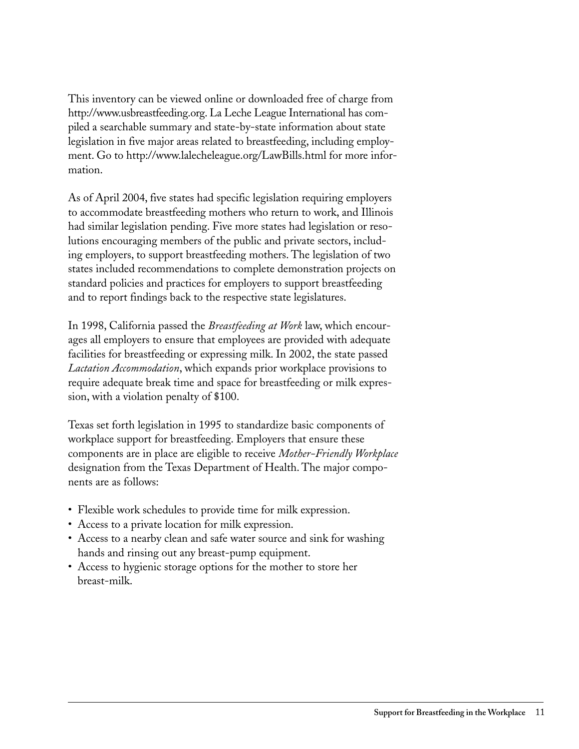This inventory can be viewed online or downloaded free of charge from http://www.usbreastfeeding.org. La Leche League International has compiled a searchable summary and state-by-state information about state legislation in five major areas related to breastfeeding, including employment. Go to http://www.lalecheleague.org/LawBills.html for more information.

As of April 2004, five states had specific legislation requiring employers to accommodate breastfeeding mothers who return to work, and Illinois had similar legislation pending. Five more states had legislation or resolutions encouraging members of the public and private sectors, including employers, to support breastfeeding mothers. The legislation of two states included recommendations to complete demonstration projects on standard policies and practices for employers to support breastfeeding and to report findings back to the respective state legislatures.

In 1998, California passed the *Breastfeeding at Work* law, which encourages all employers to ensure that employees are provided with adequate facilities for breastfeeding or expressing milk. In 2002, the state passed *Lactation Accommodation*, which expands prior workplace provisions to require adequate break time and space for breastfeeding or milk expression, with a violation penalty of \$100.

Texas set forth legislation in 1995 to standardize basic components of workplace support for breastfeeding. Employers that ensure these components are in place are eligible to receive *Mother-Friendly Workplace*  designation from the Texas Department of Health. The major components are as follows:

- Flexible work schedules to provide time for milk expression.
- Access to a private location for milk expression.
- Access to a nearby clean and safe water source and sink for washing hands and rinsing out any breast-pump equipment.
- Access to hygienic storage options for the mother to store her breast-milk.